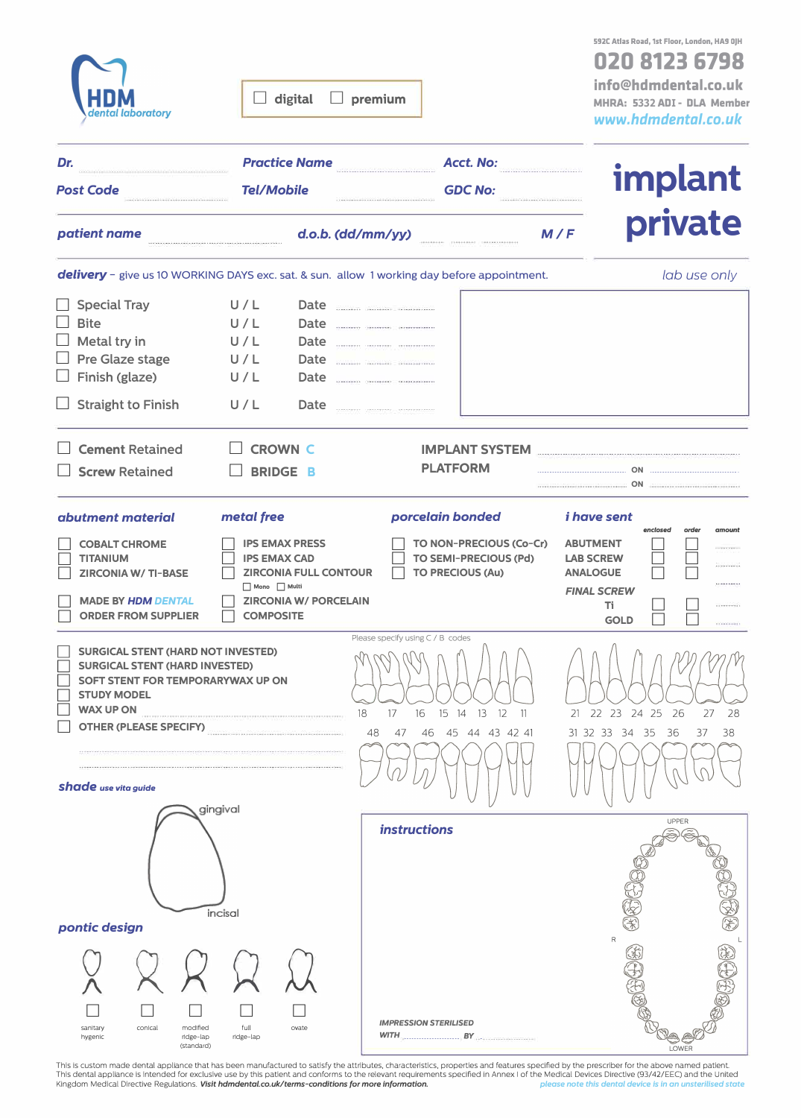| <b>HDM</b><br>dental laboratory |
|---------------------------------|
|                                 |

 $\Box$  digital  $\Box$  premium

**020 8123 6798 info@hdmdental.co.ul< MHRA: <sup>5</sup>332 ADI - DLA Member** *www.hdmdental.ca.uk* 

| Dr.<br><b>Post Code</b>                                                                                                                                                                                                           | <b>Practice Name</b><br><b>Tel/Mobile</b>                                                                                                                    | Acct. No:<br><b>GDC No:</b>                                                                                                                                  |                                                                                                   | <b>implant</b>                                                          |  |
|-----------------------------------------------------------------------------------------------------------------------------------------------------------------------------------------------------------------------------------|--------------------------------------------------------------------------------------------------------------------------------------------------------------|--------------------------------------------------------------------------------------------------------------------------------------------------------------|---------------------------------------------------------------------------------------------------|-------------------------------------------------------------------------|--|
| patient name                                                                                                                                                                                                                      |                                                                                                                                                              | d.o.b. (dd/mm/yy)                                                                                                                                            | M/F                                                                                               | private                                                                 |  |
|                                                                                                                                                                                                                                   |                                                                                                                                                              | delivery - give us 10 WORKING DAYS exc. sat. & sun. allow 1 working day before appointment.                                                                  |                                                                                                   | lab use only                                                            |  |
| <b>Special Tray</b><br><b>Bite</b><br>Metal try in<br>Pre Glaze stage<br>Finish (glaze)<br><b>Straight to Finish</b>                                                                                                              | U/L<br>U/L<br>U/L<br>U/L<br>U/L<br>U/L                                                                                                                       | Date www.communications.com<br>Date _______ _______ ________<br>Date _______ ______ ________<br>Date <b>Date</b><br>Date <u>____________________________</u> |                                                                                                   |                                                                         |  |
| <b>Cement Retained</b><br><b>Screw Retained</b>                                                                                                                                                                                   | <b>CROWN C</b><br><b>BRIDGE B</b>                                                                                                                            | IMPLANT SYSTEM MARKET AND THE RESIDENCE AND THE RESIDENCE AND THE RESIDENCE OF A STATE OF THE RESIDENCE OF THE<br><b>PLATFORM</b>                            |                                                                                                   | <b>ON</b>                                                               |  |
| abutment material                                                                                                                                                                                                                 | metal free                                                                                                                                                   | porcelain bonded                                                                                                                                             | <i>i</i> have sent                                                                                |                                                                         |  |
| <b>COBALT CHROME</b><br><b>TITANIUM</b><br><b>ZIRCONIA W/ TI-BASE</b><br><b>MADE BY HDM DENTAL</b><br><b>ORDER FROM SUPPLIER</b>                                                                                                  | <b>IPS EMAX PRESS</b><br><b>IPS EMAX CAD</b><br><b>ZIRCONIA FULL CONTOUR</b><br>$\Box$ Mono $\Box$ Multi<br><b>ZIRCONIA W/ PORCELAIN</b><br><b>COMPOSITE</b> | TO NON-PRECIOUS (Co-Cr)<br>TO SEMI-PRECIOUS (Pd)<br><b>TO PRECIOUS (Au)</b>                                                                                  | <b>ABUTMENT</b><br><b>LAB SCREW</b><br><b>ANALOGUE</b><br><b>FINAL SCREW</b><br>Τi<br><b>GOLD</b> | enclosed<br>order<br>amount<br><b>CONTRACTOR</b><br><br><b>CONSUMPT</b> |  |
| <b>SURGICAL STENT (HARD NOT INVESTED)</b><br><b>SURGICAL STENT (HARD INVESTED)</b><br>SOFT STENT FOR TEMPORARYWAX UP ON<br><b>STUDY MODEL</b><br><b>WAX UP ON</b><br><b>OTHER (PLEASE SPECIFY)</b><br><b>Shade</b> use vita guide |                                                                                                                                                              | Please specify using C / B codes<br>18<br>16    15    14    13    12<br>$\overline{11}$<br>17<br>48<br>44 43 42 41<br>45<br>47<br>46                         | 31 32 33                                                                                          | 21 22 23 24 25 26<br>28<br>27<br>34<br>-35<br>36<br>37<br>38            |  |
| pontic design                                                                                                                                                                                                                     | gingival<br>incisal                                                                                                                                          | <i>instructions</i>                                                                                                                                          |                                                                                                   | UPPER<br>英国家                                                            |  |
| conical<br>modified<br>sanitary<br>hygenic<br>ridge-lap<br>(standard)                                                                                                                                                             | full<br>ovate<br>ridge-lap                                                                                                                                   | <b>IMPRESSION STERILISED</b><br>$WITH$ <sub>3</sub> $BY$ $BY$ $\cdots$                                                                                       |                                                                                                   | LOWER                                                                   |  |

This is custom made dental appliance that has been manufactured to satisfy the attributes, characteristics, properties and features specified by the prescriber for the above named patient.<br>This dental appliance is intended